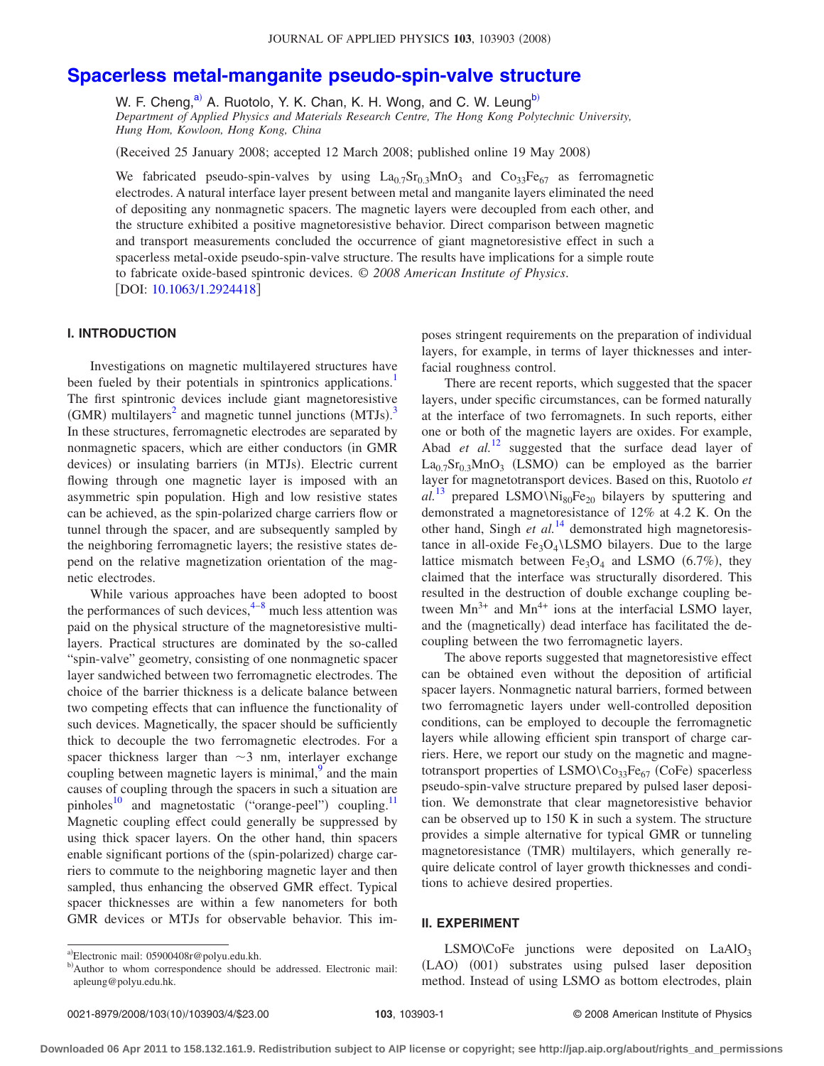# **[Spacerless metal-manganite pseudo-spin-valve structure](http://dx.doi.org/10.1063/1.2924418)**

W. F. Cheng,<sup>a)</sup> A. Ruotolo, Y. K. Chan, K. H. Wong, and C. W. Leung<sup>b)</sup>

*Department of Applied Physics and Materials Research Centre, The Hong Kong Polytechnic University, Hung Hom, Kowloon, Hong Kong, China*

(Received 25 January 2008; accepted 12 March 2008; published online 19 May 2008)

We fabricated pseudo-spin-valves by using  $La_{0.7}Sr_{0.3}MnO_3$  and  $Co_{33}Fe_{67}$  as ferromagnetic electrodes. A natural interface layer present between metal and manganite layers eliminated the need of depositing any nonmagnetic spacers. The magnetic layers were decoupled from each other, and the structure exhibited a positive magnetoresistive behavior. Direct comparison between magnetic and transport measurements concluded the occurrence of giant magnetoresistive effect in such a spacerless metal-oxide pseudo-spin-valve structure. The results have implications for a simple route to fabricate oxide-based spintronic devices. © *2008 American Institute of Physics*. [DOI: [10.1063/1.2924418](http://dx.doi.org/10.1063/1.2924418)]

# **I. INTRODUCTION**

Investigations on magnetic multilayered structures have been fueled by their potentials in spintronics applications.<sup>1</sup> The first spintronic devices include giant magnetoresistive (GMR) multilayers<sup>2</sup> and magnetic tunnel junctions  $(MTJs)^3$  $(MTJs)^3$ In these structures, ferromagnetic electrodes are separated by nonmagnetic spacers, which are either conductors (in GMR devices) or insulating barriers (in MTJs). Electric current flowing through one magnetic layer is imposed with an asymmetric spin population. High and low resistive states can be achieved, as the spin-polarized charge carriers flow or tunnel through the spacer, and are subsequently sampled by the neighboring ferromagnetic layers; the resistive states depend on the relative magnetization orientation of the magnetic electrodes.

While various approaches have been adopted to boost the performances of such devices, $4-8$  $4-8$  much less attention was paid on the physical structure of the magnetoresistive multilayers. Practical structures are dominated by the so-called "spin-valve" geometry, consisting of one nonmagnetic spacer layer sandwiched between two ferromagnetic electrodes. The choice of the barrier thickness is a delicate balance between two competing effects that can influence the functionality of such devices. Magnetically, the spacer should be sufficiently thick to decouple the two ferromagnetic electrodes. For a spacer thickness larger than  $\sim$ 3 nm, interlayer exchange coupling between magnetic layers is minimal, $\frac{9}{9}$  and the main causes of coupling through the spacers in such a situation are pinholes<sup>10</sup> and magnetostatic ("orange-peel") coupling.<sup>11</sup> Magnetic coupling effect could generally be suppressed by using thick spacer layers. On the other hand, thin spacers enable significant portions of the (spin-polarized) charge carriers to commute to the neighboring magnetic layer and then sampled, thus enhancing the observed GMR effect. Typical spacer thicknesses are within a few nanometers for both GMR devices or MTJs for observable behavior. This im-

There are recent reports, which suggested that the spacer layers, under specific circumstances, can be formed naturally at the interface of two ferromagnets. In such reports, either one or both of the magnetic layers are oxides. For example, Abad *et al.*<sup>[12](#page-3-8)</sup> suggested that the surface dead layer of  $La_{0.7}Sr_{0.3}MnO_3$  (LSMO) can be employed as the barrier layer for magnetotransport devices. Based on this, Ruotolo *et*  $al^{13}$  $al^{13}$  $al^{13}$  prepared LSMO\Ni<sub>80</sub>Fe<sub>20</sub> bilayers by sputtering and demonstrated a magnetoresistance of 12% at 4.2 K. On the other hand, Singh *et al.*<sup>[14](#page-3-10)</sup> demonstrated high magnetoresistance in all-oxide  $Fe<sub>3</sub>O<sub>4</sub> \setminus LSMO$  bilayers. Due to the large lattice mismatch between  $Fe<sub>3</sub>O<sub>4</sub>$  and LSMO (6.7%), they claimed that the interface was structurally disordered. This resulted in the destruction of double exchange coupling between  $Mn^{3+}$  and  $Mn^{4+}$  ions at the interfacial LSMO layer, and the (magnetically) dead interface has facilitated the decoupling between the two ferromagnetic layers.

The above reports suggested that magnetoresistive effect can be obtained even without the deposition of artificial spacer layers. Nonmagnetic natural barriers, formed between two ferromagnetic layers under well-controlled deposition conditions, can be employed to decouple the ferromagnetic layers while allowing efficient spin transport of charge carriers. Here, we report our study on the magnetic and magnetotransport properties of LSMO\Co<sub>33</sub>Fe<sub>67</sub> (CoFe) spacerless pseudo-spin-valve structure prepared by pulsed laser deposition. We demonstrate that clear magnetoresistive behavior can be observed up to 150 K in such a system. The structure provides a simple alternative for typical GMR or tunneling magnetoresistance (TMR) multilayers, which generally require delicate control of layer growth thicknesses and conditions to achieve desired properties.

### **II. EXPERIMENT**

LSMO $\text{CoFe}$  junctions were deposited on LaAlO<sub>3</sub> (LAO) (001) substrates using pulsed laser deposition method. Instead of using LSMO as bottom electrodes, plain

poses stringent requirements on the preparation of individual layers, for example, in terms of layer thicknesses and interfacial roughness control.

<span id="page-0-0"></span>a)Electronic mail: 05900408r@polyu.edu.kh.

<span id="page-0-1"></span>b)Author to whom correspondence should be addressed. Electronic mail: apleung@polyu.edu.hk.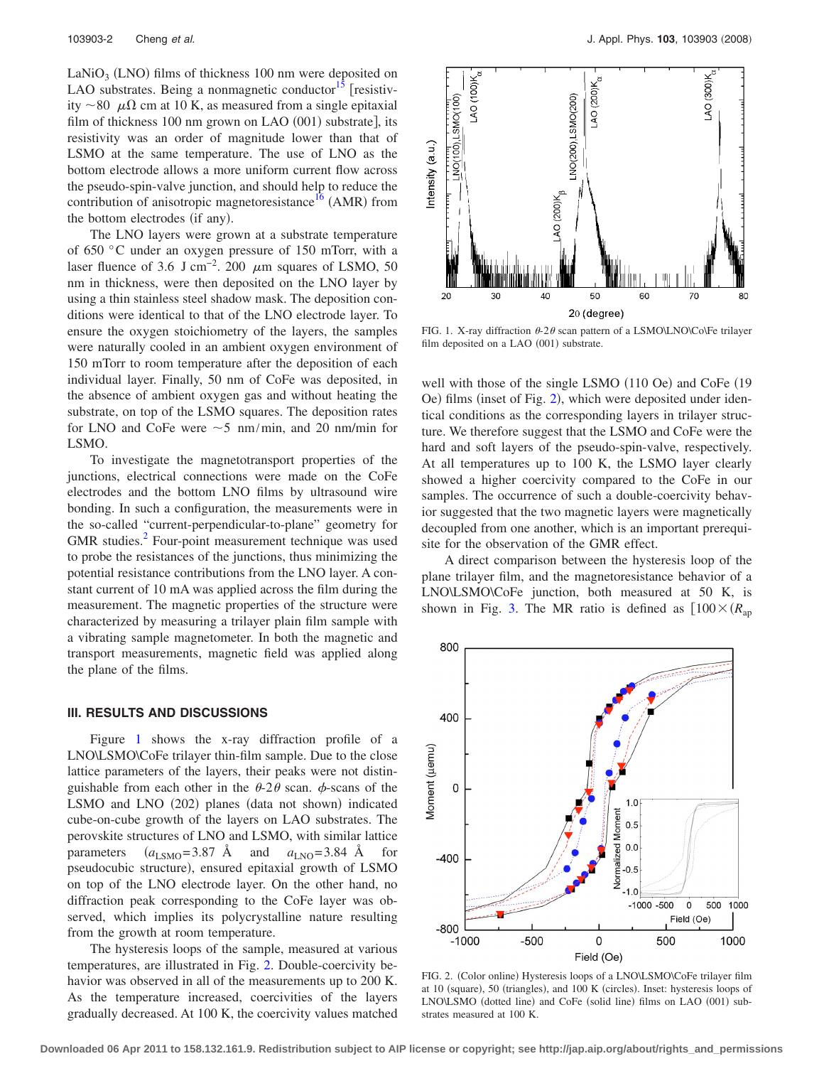$\text{LaNiO}_3$  (LNO) films of thickness 100 nm were deposited on LAO substrates. Being a nonmagnetic conductor<sup>15</sup> [resistivity  $\sim$  80  $\mu\Omega$  cm at 10 K, as measured from a single epitaxial film of thickness 100 nm grown on LAO (001) substrate], its resistivity was an order of magnitude lower than that of LSMO at the same temperature. The use of LNO as the bottom electrode allows a more uniform current flow across the pseudo-spin-valve junction, and should help to reduce the contribution of anisotropic magnetoresistance<sup>16</sup> (AMR) from the bottom electrodes (if any).

The LNO layers were grown at a substrate temperature of 650 °C under an oxygen pressure of 150 mTorr, with a laser fluence of 3.6 J cm<sup>-2</sup>. 200  $\mu$ m squares of LSMO, 50 nm in thickness, were then deposited on the LNO layer by using a thin stainless steel shadow mask. The deposition conditions were identical to that of the LNO electrode layer. To ensure the oxygen stoichiometry of the layers, the samples were naturally cooled in an ambient oxygen environment of 150 mTorr to room temperature after the deposition of each individual layer. Finally, 50 nm of CoFe was deposited, in the absence of ambient oxygen gas and without heating the substrate, on top of the LSMO squares. The deposition rates for LNO and CoFe were  $\sim$  5 nm/min, and 20 nm/min for LSMO.

To investigate the magnetotransport properties of the junctions, electrical connections were made on the CoFe electrodes and the bottom LNO films by ultrasound wire bonding. In such a configuration, the measurements were in the so-called "current-perpendicular-to-plane" geometry for GMR studies.<sup>[2](#page-3-1)</sup> Four-point measurement technique was used to probe the resistances of the junctions, thus minimizing the potential resistance contributions from the LNO layer. A constant current of 10 mA was applied across the film during the measurement. The magnetic properties of the structure were characterized by measuring a trilayer plain film sample with a vibrating sample magnetometer. In both the magnetic and transport measurements, magnetic field was applied along the plane of the films.

#### **III. RESULTS AND DISCUSSIONS**

Figure [1](#page-1-0) shows the x-ray diffraction profile of a LNO\LSMO\CoFe trilayer thin-film sample. Due to the close lattice parameters of the layers, their peaks were not distinguishable from each other in the  $\theta$ -2 $\theta$  scan.  $\phi$ -scans of the LSMO and LNO (202) planes (data not shown) indicated cube-on-cube growth of the layers on LAO substrates. The perovskite structures of LNO and LSMO, with similar lattice parameters  $(a_{LSMO} = 3.87 \text{ Å} \text{ and } a_{LNO} = 3.84 \text{ Å} \text{ for}$ pseudocubic structure), ensured epitaxial growth of LSMO on top of the LNO electrode layer. On the other hand, no diffraction peak corresponding to the CoFe layer was observed, which implies its polycrystalline nature resulting from the growth at room temperature.

The hysteresis loops of the sample, measured at various temperatures, are illustrated in Fig. [2.](#page-1-1) Double-coercivity behavior was observed in all of the measurements up to 200 K. As the temperature increased, coercivities of the layers gradually decreased. At 100 K, the coercivity values matched

<span id="page-1-0"></span>

FIG. 1. X-ray diffraction  $\theta$ -2 $\theta$  scan pattern of a LSMO\LNO\Co\Fe trilayer film deposited on a LAO (001) substrate.

well with those of the single LSMO (110 Oe) and CoFe (19 Oe) films (inset of Fig. [2](#page-1-1)), which were deposited under identical conditions as the corresponding layers in trilayer structure. We therefore suggest that the LSMO and CoFe were the hard and soft layers of the pseudo-spin-valve, respectively. At all temperatures up to 100 K, the LSMO layer clearly showed a higher coercivity compared to the CoFe in our samples. The occurrence of such a double-coercivity behavior suggested that the two magnetic layers were magnetically decoupled from one another, which is an important prerequisite for the observation of the GMR effect.

A direct comparison between the hysteresis loop of the plane trilayer film, and the magnetoresistance behavior of a LNO\LSMO\CoFe junction, both measured at 50 K, is shown in Fig. [3.](#page-2-0) The MR ratio is defined as  $100 \times (R_{an})$ 

<span id="page-1-1"></span>

FIG. 2. (Color online) Hysteresis loops of a LNO\LSMO\CoFe trilayer film at 10 (square), 50 (triangles), and 100 K (circles). Inset: hysteresis loops of LNO\LSMO (dotted line) and CoFe (solid line) films on LAO (001) substrates measured at 100 K.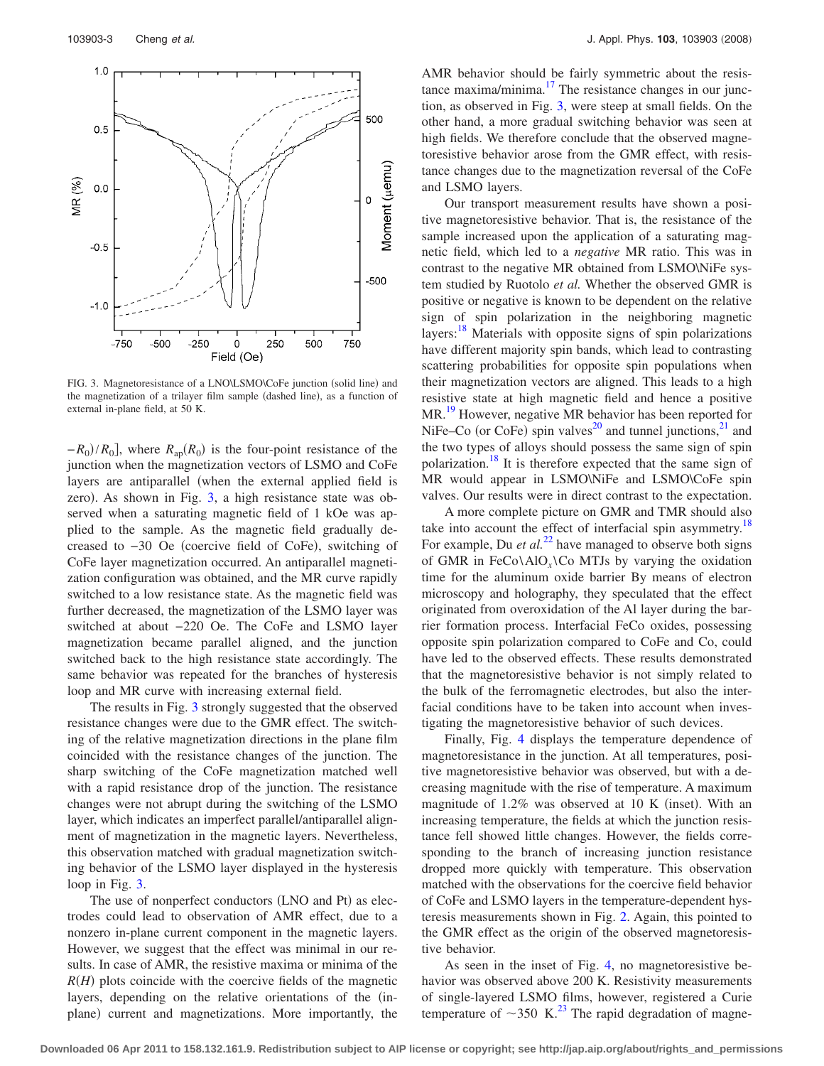<span id="page-2-0"></span>

FIG. 3. Magnetoresistance of a LNO\LSMO\CoFe junction (solid line) and the magnetization of a trilayer film sample (dashed line), as a function of external in-plane field, at 50 K.

 $-R_0$ / $R_0$ ], where  $R_{ap}(R_0)$  is the four-point resistance of the junction when the magnetization vectors of LSMO and CoFe layers are antiparallel when the external applied field is zero). As shown in Fig. [3,](#page-2-0) a high resistance state was observed when a saturating magnetic field of 1 kOe was applied to the sample. As the magnetic field gradually decreased to -30 Oe (coercive field of CoFe), switching of CoFe layer magnetization occurred. An antiparallel magnetization configuration was obtained, and the MR curve rapidly switched to a low resistance state. As the magnetic field was further decreased, the magnetization of the LSMO layer was switched at about −220 Oe. The CoFe and LSMO layer magnetization became parallel aligned, and the junction switched back to the high resistance state accordingly. The same behavior was repeated for the branches of hysteresis loop and MR curve with increasing external field.

The results in Fig. [3](#page-2-0) strongly suggested that the observed resistance changes were due to the GMR effect. The switching of the relative magnetization directions in the plane film coincided with the resistance changes of the junction. The sharp switching of the CoFe magnetization matched well with a rapid resistance drop of the junction. The resistance changes were not abrupt during the switching of the LSMO layer, which indicates an imperfect parallel/antiparallel alignment of magnetization in the magnetic layers. Nevertheless, this observation matched with gradual magnetization switching behavior of the LSMO layer displayed in the hysteresis loop in Fig. [3.](#page-2-0)

The use of nonperfect conductors (LNO and Pt) as electrodes could lead to observation of AMR effect, due to a nonzero in-plane current component in the magnetic layers. However, we suggest that the effect was minimal in our results. In case of AMR, the resistive maxima or minima of the  $R(H)$  plots coincide with the coercive fields of the magnetic layers, depending on the relative orientations of the (inplane) current and magnetizations. More importantly, the

AMR behavior should be fairly symmetric about the resistance maxima/minima. $^{17}$  The resistance changes in our junction, as observed in Fig. [3,](#page-2-0) were steep at small fields. On the other hand, a more gradual switching behavior was seen at high fields. We therefore conclude that the observed magnetoresistive behavior arose from the GMR effect, with resistance changes due to the magnetization reversal of the CoFe and LSMO layers.

Our transport measurement results have shown a positive magnetoresistive behavior. That is, the resistance of the sample increased upon the application of a saturating magnetic field, which led to a *negative* MR ratio. This was in contrast to the negative MR obtained from LSMO\NiFe system studied by Ruotolo *et al.* Whether the observed GMR is positive or negative is known to be dependent on the relative sign of spin polarization in the neighboring magnetic layers:<sup>18</sup> Materials with opposite signs of spin polarizations have different majority spin bands, which lead to contrasting scattering probabilities for opposite spin populations when their magnetization vectors are aligned. This leads to a high resistive state at high magnetic field and hence a positive MR.<sup>19</sup> However, negative MR behavior has been reported for NiFe–Co (or CoFe) spin valves<sup>20</sup> and tunnel junctions,<sup>21</sup> and the two types of alloys should possess the same sign of spin polarization.<sup>18</sup> It is therefore expected that the same sign of MR would appear in LSMO\NiFe and LSMO\CoFe spin valves. Our results were in direct contrast to the expectation.

A more complete picture on GMR and TMR should also take into account the effect of interfacial spin asymmetry.<sup>18</sup> For example, Du *et al.*<sup>[22](#page-3-18)</sup> have managed to observe both signs of GMR in FeCo $\Delta$ lO<sub>x</sub> $\angle$ Co MTJs by varying the oxidation time for the aluminum oxide barrier By means of electron microscopy and holography, they speculated that the effect originated from overoxidation of the Al layer during the barrier formation process. Interfacial FeCo oxides, possessing opposite spin polarization compared to CoFe and Co, could have led to the observed effects. These results demonstrated that the magnetoresistive behavior is not simply related to the bulk of the ferromagnetic electrodes, but also the interfacial conditions have to be taken into account when investigating the magnetoresistive behavior of such devices.

Finally, Fig. [4](#page-3-19) displays the temperature dependence of magnetoresistance in the junction. At all temperatures, positive magnetoresistive behavior was observed, but with a decreasing magnitude with the rise of temperature. A maximum magnitude of  $1.2\%$  was observed at 10 K (inset). With an increasing temperature, the fields at which the junction resistance fell showed little changes. However, the fields corresponding to the branch of increasing junction resistance dropped more quickly with temperature. This observation matched with the observations for the coercive field behavior of CoFe and LSMO layers in the temperature-dependent hysteresis measurements shown in Fig. [2.](#page-1-1) Again, this pointed to the GMR effect as the origin of the observed magnetoresistive behavior.

As seen in the inset of Fig. [4,](#page-3-19) no magnetoresistive behavior was observed above 200 K. Resistivity measurements of single-layered LSMO films, however, registered a Curie temperature of  $\sim$ 350 K.<sup>23</sup> The rapid degradation of magne-